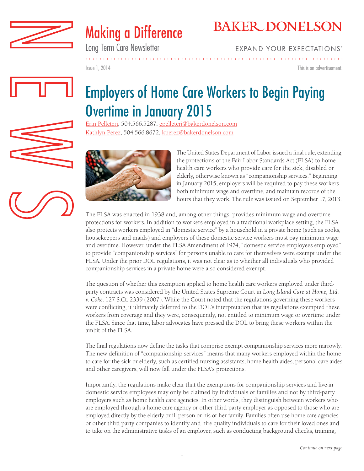



Long Term Care Newsletter

**EXPAND YOUR EXPECTATIONS®** 

Issue 1, 2014

This is an advertisement.

# Employers of Home Care Workers to Begin Paying Overtime in January 2015

[Erin Pelleteri,](http://www.bakerdonelson.com/erin-e-pelleteri/) 504.566.5287, epelleteri@bakerdonelson.com [Kathlyn Perez,](http://www.bakerdonelson.com/kathlyn-perez/) 504.566.8672, kperez@bakerdonelson.com



The United States Department of Labor issued a final rule, extending the protections of the Fair Labor Standards Act (FLSA) to home health care workers who provide care for the sick, disabled or elderly, otherwise known as "companionship services." Beginning in January 2015, employers will be required to pay these workers both minimum wage and overtime, and maintain records of the hours that they work. The rule was issued on September 17, 2013.

The FLSA was enacted in 1938 and, among other things, provides minimum wage and overtime protections for workers. In addition to workers employed in a traditional workplace setting, the FLSA also protects workers employed in "domestic service" by a household in a private home (such as cooks, housekeepers and maids) and employers of these domestic service workers must pay minimum wage and overtime. However, under the FLSA Amendment of 1974, "domestic service employees employed" to provide "companionship services" for persons unable to care for themselves were exempt under the FLSA. Under the prior DOL regulations, it was not clear as to whether all individuals who provided companionship services in a private home were also considered exempt.

The question of whether this exemption applied to home health care workers employed under thirdparty contracts was considered by the United States Supreme Court in *Long Island Care at Home, Ltd. v. Coke*. 127 S.Ct. 2339 (2007). While the Court noted that the regulations governing these workers were conflicting, it ultimately deferred to the DOL's interpretation that its regulations exempted these workers from coverage and they were, consequently, not entitled to minimum wage or overtime under the FLSA. Since that time, labor advocates have pressed the DOL to bring these workers within the ambit of the FLSA.

The final regulations now define the tasks that comprise exempt companionship services more narrowly. The new definition of "companionship services" means that many workers employed within the home to care for the sick or elderly, such as certified nursing assistants, home health aides, personal care aides and other caregivers, will now fall under the FLSA's protections.

Importantly, the regulations make clear that the exemptions for companionship services and live-in domestic service employees may only be claimed by individuals or families and not by third-party employers such as home health care agencies. In other words, they distinguish between workers who are employed through a home care agency or other third party employer as opposed to those who are employed directly by the elderly or ill person or his or her family. Families often use home care agencies or other third party companies to identify and hire quality individuals to care for their loved ones and to take on the administrative tasks of an employer, such as conducting background checks, training,

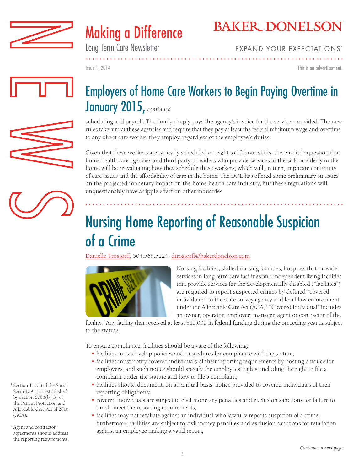



Long Term Care Newsletter

**EXPAND YOUR EXPECTATIONS®** 

Issue 1, 2014

This is an advertisement.

. . . . . . . . . . . . . . . . .

# Employers of Home Care Workers to Begin Paying Overtime in January 2015, *continued*

scheduling and payroll. The family simply pays the agency's invoice for the services provided. The new rules take aim at these agencies and require that they pay at least the federal minimum wage and overtime to any direct care worker they employ, regardless of the employee's duties.

Given that these workers are typically scheduled on eight to 12-hour shifts, there is little question that home health care agencies and third-party providers who provide services to the sick or elderly in the home will be reevaluating how they schedule these workers, which will, in turn, implicate continuity of care issues and the affordability of care in the home. The DOL has offered some preliminary statistics on the projected monetary impact on the home health care industry, but these regulations will unquestionably have a ripple effect on other industries.

# Nursing Home Reporting of Reasonable Suspicion of a Crime

[Danielle Trostorff,](http://www.bakerdonelson.com/danielle-trostorff/) 504.566.5224, dtrostorff@bakerdonelson.com



Nursing facilities, skilled nursing facilities, hospices that provide services in long term care facilities and independent living facilities that provide services for the developmentally disabled ("facilities") are required to report suspected crimes by defined "covered individuals" to the state survey agency and local law enforcement under the Affordable Care Act (ACA).<sup>1</sup> "Covered individual" includes an owner, operator, employee, manager, agent or contractor of the

. . . . . . . . . . . . . . . . . . .

facility. 2 Any facility that received at least \$10,000 in federal funding during the preceding year is subject to the statute.

To ensure compliance, facilities should be aware of the following:

- facilities must develop policies and procedures for compliance with the statute;
- facilities must notify covered individuals of their reporting requirements by posting a notice for employees, and such notice should specify the employees' rights, including the right to file a complaint under the statute and how to file a complaint;
- facilities should document, on an annual basis, notice provided to covered individuals of their reporting obligations;
- covered individuals are subject to civil monetary penalties and exclusion sanctions for failure to timely meet the reporting requirements;
- facilities may not retaliate against an individual who lawfully reports suspicion of a crime; furthermore, facilities are subject to civil money penalties and exclusion sanctions for retaliation against an employee making a valid report;

<sup>1</sup> Section 1150B of the Social Security Act, as established by section  $6703(b)(3)$  of the Patient Protection and Affordable Care Act of 2010 (ACA).

<sup>2</sup> Agent and contractor agreements should address the reporting requirements.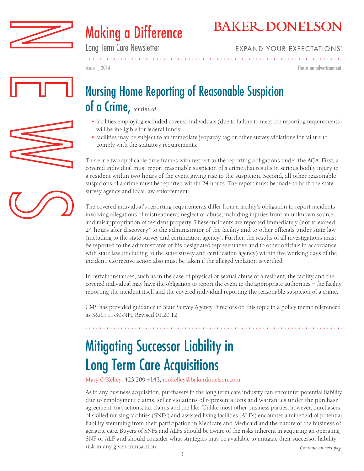



Long Term Care Newsletter

**EXPAND YOUR EXPECTATIONS®** 

Issue 1, 2014

This is an advertisement.

### Nursing Home Reporting of Reasonable Suspicion of a Crime, *continued*

- facilities employing excluded covered individuals (due to failure to meet the reporting requirements) will be ineligible for federal funds;
- facilities may be subject to an immediate jeopardy tag or other survey violations for failure to comply with the statutory requirements.

There are two applicable time frames with respect to the reporting obligations under the ACA. First, a covered individual must report reasonable suspicion of a crime that results in serious bodily injury to a resident within two hours of the event giving rise to the suspicion. Second, all other reasonable suspicions of a crime must be reported within 24 hours. The report must be made to both the state survey agency and local law enforcement.

The covered individual's reporting requirements differ from a facility's obligation to report incidents involving allegations of mistreatment, neglect or abuse, including injuries from an unknown source and misappropriation of resident property. These incidents are reported immediately (not to exceed 24 hours after discovery) to the administrator of the facility and to other officials under state law (including to the state survey and certification agency). Further, the results of all investigations must be reported to the administrator or his designated representative and to other officials in accordance with state law (including to the state survey and certification agency) within five working days of the incident. Corrective action also must be taken if the alleged violation is verified.

In certain instances, such as in the case of physical or sexual abuse of a resident, the facility and the covered individual may have the obligation to report the event to the appropriate authorities – the facility reporting the incident itself and the covered individual reporting the reasonable suspicion of a crime.

CMS has provided guidance to State Survey Agency Directors on this topic in a policy memo referenced as S&C: 11-30-NH, Revised 01.20.12.

. . . . . . . . . . . . . . . .

# Mitigating Successor Liability in Long Term Care Acquisitions

[Mary O'Kelley](http://www.bakerdonelson.com/mary-okelley/), 423.209.4143, mokelley@bakerdonelson.com

As in any business acquisition, purchasers in the long term care industry can encounter potential liability due to employment claims, seller violations of representations and warranties under the purchase agreement, tort actions, tax claims and the like. Unlike most other business parties, however, purchasers of skilled nursing facilities (SNFs) and assisted living facilities (ALFs) encounter a minefield of potential liability stemming from their participation in Medicare and Medicaid and the nature of the business of geriatric care. Buyers of SNFs and ALFs should be aware of the risks inherent in acquiring an operating SNF or ALF and should consider what strategies may be available to mitigate their successor liability risk in any given transaction. *Continue on next page*





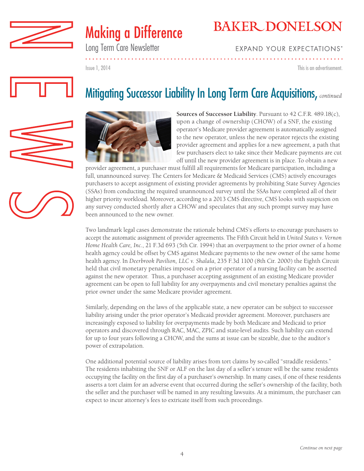



Long Term Care Newsletter

#### **EXPAND YOUR EXPECTATIONS®**

Issue 1, 2014

This is an advertisement.



### Mitigating Successor Liability In Long Term Care Acquisitions, *continued*



**Sources of Successor Liability**. Pursuant to 42 C.F.R. 489.18(c), upon a change of ownership (CHOW) of a SNF, the existing operator's Medicare provider agreement is automatically assigned to the new operator, unless the new operator rejects the existing provider agreement and applies for a new agreement, a path that few purchasers elect to take since their Medicare payments are cut off until the new provider agreement is in place. To obtain a new

provider agreement, a purchaser must fulfill all requirements for Medicare participation, including a full, unannounced survey. The Centers for Medicare & Medicaid Services (CMS) actively encourages purchasers to accept assignment of existing provider agreements by prohibiting State Survey Agencies (SSAs) from conducting the required unannounced survey until the SSAs have completed all of their higher priority workload. Moreover, according to a 2013 CMS directive, CMS looks with suspicion on any survey conducted shortly after a CHOW and speculates that any such prompt survey may have been announced to the new owner.

Two landmark legal cases demonstrate the rationale behind CMS's efforts to encourage purchasers to accept the automatic assignment of provider agreements. The Fifth Circuit held in *United States v. Vernon Home Health Care, Inc.*, 21 F.3d 693 (5th Cir. 1994) that an overpayment to the prior owner of a home health agency could be offset by CMS against Medicare payments to the new owner of the same home health agency. In *Deerbrook Pavilion, LLC v. Shalala*, 235 F.3d 1100 (8th Cir. 2000) the Eighth Circuit held that civil monetary penalties imposed on a prior operator of a nursing facility can be asserted against the new operator. Thus, a purchaser accepting assignment of an existing Medicare provider agreement can be open to full liability for any overpayments and civil monetary penalties against the prior owner under the same Medicare provider agreement.

Similarly, depending on the laws of the applicable state, a new operator can be subject to successor liability arising under the prior operator's Medicaid provider agreement. Moreover, purchasers are increasingly exposed to liability for overpayments made by both Medicare and Medicaid to prior operators and discovered through RAC, MAC, ZPIC and state-level audits. Such liability can extend for up to four years following a CHOW, and the sums at issue can be sizeable, due to the auditor's power of extrapolation.

One additional potential source of liability arises from tort claims by so-called "straddle residents." The residents inhabiting the SNF or ALF on the last day of a seller's tenure will be the same residents occupying the facility on the first day of a purchaser's ownership. In many cases, if one of these residents asserts a tort claim for an adverse event that occurred during the seller's ownership of the facility, both the seller and the purchaser will be named in any resulting lawsuits. At a minimum, the purchaser can expect to incur attorney's fees to extricate itself from such proceedings.

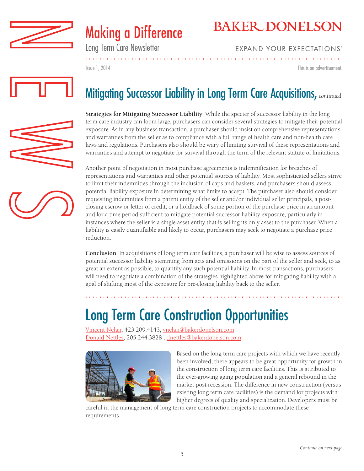



### Long Term Care Newsletter

**EXPAND YOUR EXPECTATIONS®** 

This is an advertisement.

Issue 1, 2014



## Mitigating Successor Liability in Long Term Care Acquisitions, *continued*

**Strategies for Mitigating Successor Liability**. While the specter of successor liability in the long term care industry can loom large, purchasers can consider several strategies to mitigate their potential exposure. As in any business transaction, a purchaser should insist on comprehensive representations and warranties from the seller as to compliance with a full range of health care and non-health care laws and regulations. Purchasers also should be wary of limiting survival of these representations and warranties and attempt to negotiate for survival through the term of the relevant statute of limitations.

Another point of negotiation in most purchase agreements is indemnification for breaches of representations and warranties and other potential sources of liability. Most sophisticated sellers strive to limit their indemnities through the inclusion of caps and baskets, and purchasers should assess potential liability exposure in determining what limits to accept. The purchaser also should consider requesting indemnities from a parent entity of the seller and/or individual seller principals, a postclosing escrow or letter of credit, or a holdback of some portion of the purchase price in an amount and for a time period sufficient to mitigate potential successor liability exposure, particularly in instances where the seller is a single-asset entity that is selling its only asset to the purchaser. When a liability is easily quantifiable and likely to occur, purchasers may seek to negotiate a purchase price reduction.

**Conclusion**. In acquisitions of long term care facilities, a purchaser will be wise to assess sources of potential successor liability stemming from acts and omissions on the part of the seller and seek, to as great an extent as possible, to quantify any such potential liability. In most transactions, purchasers will need to negotiate a combination of the strategies highlighted above for mitigating liability with a goal of shifting most of the exposure for pre-closing liability back to the seller.

# Long Term Care Construction Opportunities

[Vincent Nelan,](http://www.bakerdonelson.com/vincent-g-nelan/) 423.209.4143, vnelan@bakerdonelson.com [Donald Nettles,](http://www.bakerdonelson.com/donald-j-nettles/) 205.244.3828 , dnettles@bakerdonelson.com



Based on the long term care projects with which we have recently been involved, there appears to be great opportunity for growth in the construction of long term care facilities. This is attributed to the ever-growing aging population and a general rebound in the market post-recession. The difference in new construction (versus existing long term care facilities) is the demand for projects with higher degrees of quality and specialization. Developers must be

careful in the management of long term care construction projects to accommodate these requirements.



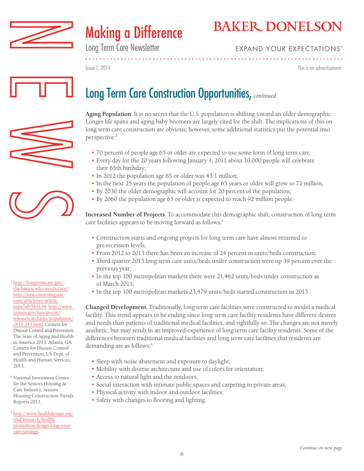



Long Term Care Newsletter

#### **EXPAND YOUR EXPECTATIONS®**

Issue 1, 2014

This is an advertisement.

## Long Term Care Construction Opportunities, *continued*





<sup>3</sup> [http://longtermcare.gov/](http://http://longtermcare.gov/the-basics/who-needs-care/) [the-basics/who-needs-care/](http://http://longtermcare.gov/the-basics/who-needs-care/); [http://news.morningstar.](http://http://news.morningstar.com/articlenet/article.aspx?id=564139) [com/articlenet/article.](http://http://news.morningstar.com/articlenet/article.aspx?id=564139) [aspx?id=564139;](http://http://news.morningstar.com/articlenet/article.aspx?id=564139) [http://www.](http://http://www.census.gov/newsroom/releases/archives/population/cb12-243.html) [census.gov/newsroom/](http://http://www.census.gov/newsroom/releases/archives/population/cb12-243.html) [releases/archives/population/](http://http://www.census.gov/newsroom/releases/archives/population/cb12-243.html) [cb12-243.html;](http://http://www.census.gov/newsroom/releases/archives/population/cb12-243.html) Centers for Disease Control and Prevention. The State of Aging and Health in America 2013. Atlanta, GA: Centers for Disease Control and Prevention, US Dept. of Health and Human Services; 2013.

- <sup>4</sup> National Investment Center for the Seniors Housing & Care Industry, Seniors Housing Construction Trends Reports 2013.
- <sup>5</sup> [http://www.healthdesign.org/](http://http://www.healthdesign.org/chd/research/health-promotion-design-long-term-care-settings) [chd/research/health](http://http://www.healthdesign.org/chd/research/health-promotion-design-long-term-care-settings)[promotion-design-long-term](http://http://www.healthdesign.org/chd/research/health-promotion-design-long-term-care-settings)[care-settings](http://http://www.healthdesign.org/chd/research/health-promotion-design-long-term-care-settings).

**Aging Population**. It is no secret that the U.S. population is shifting toward an older demographic. Longer life spans and aging baby boomers are largely cited for the shift. The implications of this on long term care construction are obvious; however, some additional statistics put the potential into perspective:3

- 70 percent of people age 65 or older are expected to use some form of long term care;
- Every day for the 20 years following January 1, 2011 about 10,000 people will celebrate their 65th birthday;
- In 2012 the population age 65 or older was 43.1 million;
- In the next 25 years the population of people age 65 years or older will grow to 72 million;
- By 2030 the older demographic will account for 20 percent of the population;
- By 2060 the population age 65 or older is expected to reach 92 million people.

**Increased Number of Projects**. To accommodate this demographic shift, construction of long term care facilities appears to be moving forward as follows:<sup>4</sup>

- Construction starts and ongoing projects for long term care have almost returned to pre-recession levels;
- From 2012 to 2013 there has been an increase of 24 percent in units/beds construction;
- Third quarter 2013 long term care units/beds under construction were up 39 percent over the previous year;
- In the top 100 metropolitan markets there were 21,462 units/beds under construction as of March 2013;
- In the top 100 metropolitan markets 23,479 units/beds started construction in 2013.

**Changed Development**. Traditionally, long term care facilities were constructed to model a medical facility. This trend appears to be ending since long term care facility residents have different desires and needs than patients of traditional medical facilities, and rightfully so. The changes are not merely aesthetic, but may result in an improved experience of long term care facility residents. Some of the differences between traditional medical facilities and long term care facilities that residents are demanding are as follows:<sup>5</sup>

- Sleep with noise abatement and exposure to daylight;
- Mobility with diverse architecture and use of colors for orientation;
- Access to natural light and the outdoors;
- Social interaction with intimate public spaces and carpeting in private areas;
- Physical activity with indoor and outdoor facilities;
- Safety with changes to flooring and lighting.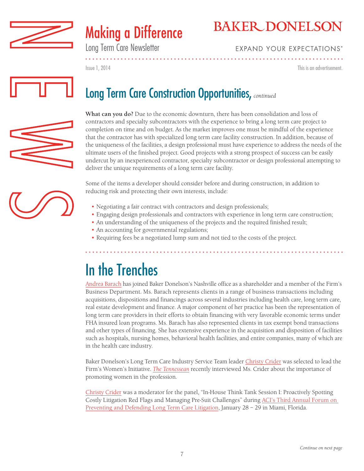



Long Term Care Newsletter

#### **EXPAND YOUR EXPECTATIONS®**

Issue 1, 2014

This is an advertisement.



### Long Term Care Construction Opportunities, *continued*



**What can you do?** Due to the economic downturn, there has been consolidation and loss of contractors and specialty subcontractors with the experience to bring a long term care project to completion on time and on budget. As the market improves one must be mindful of the experience that the contractor has with specialized long term care facility construction. In addition, because of the uniqueness of the facilities, a design professional must have experience to address the needs of the ultimate users of the finished project. Good projects with a strong prospect of success can be easily undercut by an inexperienced contractor, specialty subcontractor or design professional attempting to deliver the unique requirements of a long term care facility.

Some of the items a developer should consider before and during construction, in addition to reducing risk and protecting their own interests, include:

- Negotiating a fair contract with contractors and design professionals;
- Engaging design professionals and contractors with experience in long term care construction;
- An understanding of the uniqueness of the projects and the required finished result;
- An accounting for governmental regulations;
- Requiring fees be a negotiated lump sum and not tied to the costs of the project.

# In the Trenches

[Andrea Barach](http://www.bakerdonelson.com/andrea-barach/) has joined Baker Donelson's Nashville office as a shareholder and a member of the Firm's Business Department. Ms. Barach represents clients in a range of business transactions including acquisitions, dispositions and financings across several industries including health care, long term care, real estate development and finance. A major component of her practice has been the representation of long term care providers in their efforts to obtain financing with very favorable economic terms under FHA insured loan programs. Ms. Barach has also represented clients in tax exempt bond transactions and other types of financing. She has extensive experience in the acquisition and disposition of facilities such as hospitals, nursing homes, behavioral health facilities, and entire companies, many of which are in the health care industry.

Baker Donelson's Long Term Care Industry Service Team leader [Christy Crider](http://www.bakerdonelson.com/christy-t-crider/) was selected to lead the Firm's Women's Initiative. *[The Tennessean](http://www.bakerdonelson.com/christy-crider-qa-with-the-tennessean-02-05-2014/)* recently interviewed Ms. Crider about the importance of promoting women in the profession.

[Christy Crider](http://www.bakerdonelson.com/christy-t-crider/) was a moderator for the panel, "In-House Think Tank Session I: Proactively Spotting Costly Litigation Red Flags and Managing Pre-Suit Challenges" during [ACI's Third Annual Forum on](http://www.americanconference.com/2013/797/long-term-care-litigation)  [Preventing and Defending Long Term Care Litigation,](http://www.americanconference.com/2013/797/long-term-care-litigation) January 28 – 29 in Miami, Florida.

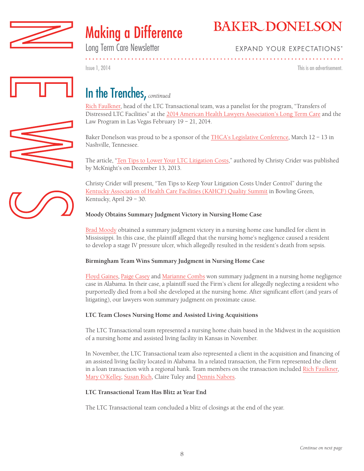



Long Term Care Newsletter

#### **EXPAND YOUR EXPECTATIONS®**

Issue 1, 2014

This is an advertisement.

. . . . . . . . . . . . . . . . .



### In the Trenches, *continued*

[Rich Faulkner,](http://www.bakerdonelson.com/richard-faulkner-jr/) head of the LTC Transactional team, was a panelist for the program, "Transfers of Distressed LTC Facilities" at the [2014 American Health Lawyers Association's Long Term Care](http://www.healthlawyers.org/Events/Programs/2014/Pages/LTC14.aspx) and the Law Program in Las Vegas February 19 – 21, 2014.

Baker Donelson was proud to be a sponsor of the **[THCA's Legislative Conference](http://www.thca.org/)**, March 12 - 13 in Nashville, Tennessee.

The article, ["Ten Tips to Lower Your LTC Litigation Costs,](http://www.mcknights.com/ten-tips-to-lower-your-ltc-litigation-costs/article/325453/)" authored by Christy Crider was published by McKnight's on December 13, 2013.

Christy Crider will present, "Ten Tips to Keep Your Litigation Costs Under Control" during the [Kentucky Association of Health Care Facilities \(KAHCF\) Quality Summit](http://www.kahcf.org/pages/2014_spring_education_conference.aspx) in Bowling Green, Kentucky, April 29 – 30.

#### **Moody Obtains Summary Judgment Victory in Nursing Home Case**

[Brad Moody](http://www.bakerdonelson.com/bradley-moody/) obtained a summary judgment victory in a nursing home case handled for client in Mississippi. In this case, the plaintiff alleged that the nursing home's negligence caused a resident to develop a stage IV pressure ulcer, which allegedly resulted in the resident's death from sepsis.

#### **Birmingham Team Wins Summary Judgment in Nursing Home Case**

[Floyd Gaines,](http://www.bakerdonelson.com/floyd-d-gaines/) [Paige Casey](http://www.bakerdonelson.com/paige-j-casey/) and [Marianne Combs](http://www.bakerdonelson.com/marianne-h-combs/) won summary judgment in a nursing home negligence case in Alabama. In their case, a plaintiff sued the Firm's client for allegedly neglecting a resident who purportedly died from a boil she developed at the nursing home. After significant effort (and years of litigating), our lawyers won summary judgment on proximate cause.

#### **LTC Team Closes Nursing Home and Assisted Living Acquisitions**

The LTC Transactional team represented a nursing home chain based in the Midwest in the acquisition of a nursing home and assisted living facility in Kansas in November.

In November, the LTC Transactional team also represented a client in the acquisition and financing of an assisted living facility located in Alabama. In a related transaction, the Firm represented the client in a loan transaction with a regional bank. Team members on the transaction included [Rich Faulkner](http://www.bakerdonelson.com/richard-faulkner-jr/), [Mary O'Kelley,](http://www.bakerdonelson.com/mary-okelley/) [Susan Rich](http://www.bakerdonelson.com/susan-rich/), Claire Tuley and [Dennis Nabors.](http://www.bakerdonelson.com/dennis-nabors/)

#### **LTC Transactional Team Has Blitz at Year End**

The LTC Transactional team concluded a blitz of closings at the end of the year.



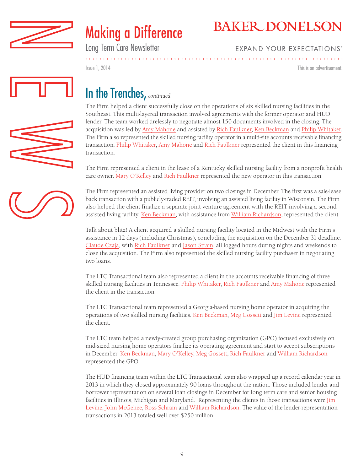



Long Term Care Newsletter

#### **EXPAND YOUR EXPECTATIONS®**

This is an advertisement.

Issue 1, 2014



### In the Trenches, *continued*

The Firm helped a client successfully close on the operations of six skilled nursing facilities in the Southeast. This multi-layered transaction involved agreements with the former operator and HUD lender. The team worked tirelessly to negotiate almost 150 documents involved in the closing. The acquisition was led by [Amy Mahone](http://www.bakerdonelson.com/amy-w-mahone/) and assisted by [Rich Faulkner](http://www.bakerdonelson.com/richard-faulkner-jr/), [Ken Beckman](http://www.bakerdonelson.com/kenneth-c-beckman/) and [Philip Whitaker.](http://www.bakerdonelson.com/philip-b-whitaker/) The Firm also represented the skilled nursing facility operator in a multi-site accounts receivable financing transaction. [Philip Whitaker](http://www.bakerdonelson.com/philip-b-whitaker/), Amy Mahone and [Rich Faulkner](http://www.bakerdonelson.com/richard-faulkner-jr/) represented the client in this financing transaction.

The Firm represented a client in the lease of a Kentucky skilled nursing facility from a nonprofit health care owner. [Mary O'Kelley](http://www.bakerdonelson.com/mary-okelley//) and [Rich Faulkner](http://www.bakerdonelson.com/richard-faulkner-jr/) represented the new operator in this transaction.

The Firm represented an assisted living provider on two closings in December. The first was a sale-lease back transaction with a publicly-traded REIT, involving an assisted living facility in Wisconsin. The Firm also helped the client finalize a separate joint venture agreement with the REIT involving a second assisted living facility. [Ken Beckman,](http://www.bakerdonelson.com/kenneth-c-beckman/) with assistance from [William Richardson](http://www.bakerdonelson.com/william-r-richardson/), represented the client.

Talk about blitz! A client acquired a skilled nursing facility located in the Midwest with the Firm's assistance in 12 days (including Christmas), concluding the acquisition on the December 31 deadline. [Claude Czaja](http://www.bakerdonelson.com/claude-p-czaja/), with [Rich Faulkner](http://www.bakerdonelson.com/richard-faulkner-jr/) and [Jason Strain,](http://www.bakerdonelson.com/jason-a-strain/) all logged hours during nights and weekends to close the acquisition. The Firm also represented the skilled nursing facility purchaser in negotiating two loans.

The LTC Transactional team also represented a client in the accounts receivable financing of three skilled nursing facilities in Tennessee. [Philip Whitaker](http://www.bakerdonelson.com/philip-b-whitaker/), [Rich Faulkner](http://www.bakerdonelson.com/richard-faulkner-jr/) and [Amy Mahone](http://www.bakerdonelson.com/amy-w-mahone/) represented the client in the transaction.

The LTC Transactional team represented a Georgia-based nursing home operator in acquiring the operations of two skilled nursing facilities. [Ken Beckman,](http://www.bakerdonelson.com/kenneth-c-beckman/) [Meg Gossett](http://www.bakerdonelson.com/mary-margaret-gossett/) and [Jim Levine](http://www.bakerdonelson.com/james-h-levine/) represented the client.

The LTC team helped a newly-created group purchasing organization (GPO) focused exclusively on mid-sized nursing home operators finalize its operating agreement and start to accept subscriptions in December. [Ken Beckman](http://www.bakerdonelson.com/kenneth-c-beckman/), [Mary O'Kelley](http://www.bakerdonelson.com/mary-okelley/), [Meg Gossett](http://www.bakerdonelson.com/mary-margaret-gossett/), [Rich Faulkner](http://www.bakerdonelson.com/richard-faulkner-jr/) and [William Richardson](http://www.bakerdonelson.com/william-r-richardson/) represented the GPO.

The HUD financing team within the LTC Transactional team also wrapped up a record calendar year in 2013 in which they closed approximately 90 loans throughout the nation. Those included lender and borrower representation on several loan closings in December for long term care and senior housing facilities in Illinois, Michigan and Maryland. Representing the clients in those transactions were Jim [Levine](http://www.bakerdonelson.com/james-h-levine/), [John McGehee,](http://www.bakerdonelson.com/john-p-mcgehee/) [Ross Schram](http://www.bakerdonelson.com/ross-i-schram/) and [William Richardson.](http://www.bakerdonelson.com/william-r-richardson/) The value of the lender-representation transactions in 2013 totaled well over \$250 million.